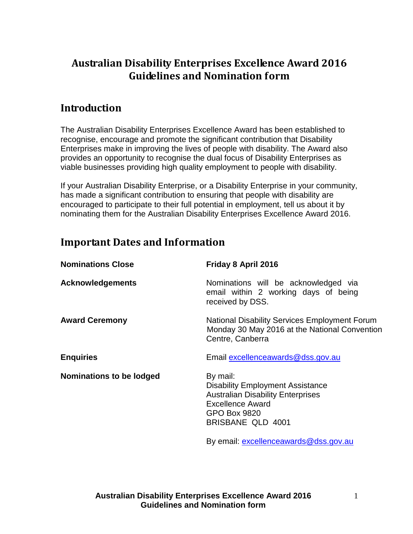## **Australian Disability Enterprises Excellence Award 2016 Guidelines and Nomination form**

### **Introduction**

The Australian Disability Enterprises Excellence Award has been established to recognise, encourage and promote the significant contribution that Disability Enterprises make in improving the lives of people with disability. The Award also provides an opportunity to recognise the dual focus of Disability Enterprises as viable businesses providing high quality employment to people with disability.

If your Australian Disability Enterprise, or a Disability Enterprise in your community, has made a significant contribution to ensuring that people with disability are encouraged to participate to their full potential in employment, tell us about it by nominating them for the Australian Disability Enterprises Excellence Award 2016.

## **Important Dates and Information**

| <b>Nominations Close</b>        | Friday 8 April 2016                                                                                                                                                    |
|---------------------------------|------------------------------------------------------------------------------------------------------------------------------------------------------------------------|
| <b>Acknowledgements</b>         | Nominations will be acknowledged via<br>email within 2 working days of being<br>received by DSS.                                                                       |
| <b>Award Ceremony</b>           | National Disability Services Employment Forum<br>Monday 30 May 2016 at the National Convention<br>Centre, Canberra                                                     |
| <b>Enquiries</b>                | Email excellenceawards@dss.gov.au                                                                                                                                      |
| <b>Nominations to be lodged</b> | By mail:<br><b>Disability Employment Assistance</b><br><b>Australian Disability Enterprises</b><br><b>Excellence Award</b><br><b>GPO Box 9820</b><br>BRISBANE QLD 4001 |
|                                 | By email: excellenceawards@dss.gov.au                                                                                                                                  |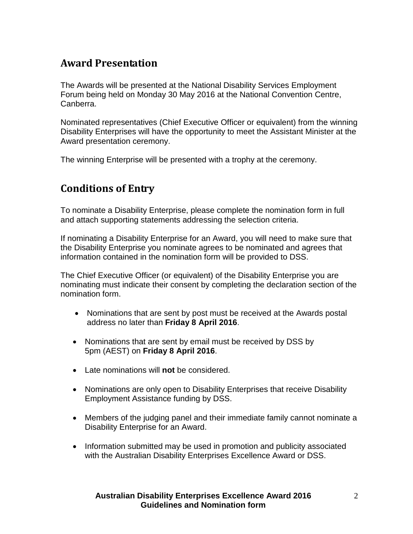## **Award Presentation**

The Awards will be presented at the National Disability Services Employment Forum being held on Monday 30 May 2016 at the National Convention Centre, Canberra.

Nominated representatives (Chief Executive Officer or equivalent) from the winning Disability Enterprises will have the opportunity to meet the Assistant Minister at the Award presentation ceremony.

The winning Enterprise will be presented with a trophy at the ceremony.

## **Conditions of Entry**

To nominate a Disability Enterprise, please complete the nomination form in full and attach supporting statements addressing the selection criteria.

If nominating a Disability Enterprise for an Award, you will need to make sure that the Disability Enterprise you nominate agrees to be nominated and agrees that information contained in the nomination form will be provided to DSS.

The Chief Executive Officer (or equivalent) of the Disability Enterprise you are nominating must indicate their consent by completing the declaration section of the nomination form.

- Nominations that are sent by post must be received at the Awards postal address no later than **Friday 8 April 2016**.
- Nominations that are sent by email must be received by DSS by 5pm (AEST) on **Friday 8 April 2016**.
- Late nominations will **not** be considered.
- Nominations are only open to Disability Enterprises that receive Disability Employment Assistance funding by DSS.
- Members of the judging panel and their immediate family cannot nominate a Disability Enterprise for an Award.
- Information submitted may be used in promotion and publicity associated with the Australian Disability Enterprises Excellence Award or DSS.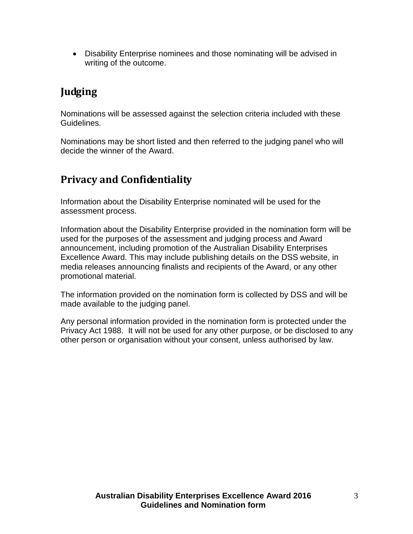• Disability Enterprise nominees and those nominating will be advised in writing of the outcome.

# **Judging**

Nominations will be assessed against the selection criteria included with these Guidelines.

Nominations may be short listed and then referred to the judging panel who will decide the winner of the Award.

## **Privacy and Confidentiality**

Information about the Disability Enterprise nominated will be used for the assessment process.

Information about the Disability Enterprise provided in the nomination form will be used for the purposes of the assessment and judging process and Award announcement, including promotion of the Australian Disability Enterprises Excellence Award. This may include publishing details on the DSS website, in media releases announcing finalists and recipients of the Award, or any other promotional material.

The information provided on the nomination form is collected by DSS and will be made available to the judging panel.

Any personal information provided in the nomination form is protected under the Privacy Act 1988. It will not be used for any other purpose, or be disclosed to any other person or organisation without your consent, unless authorised by law.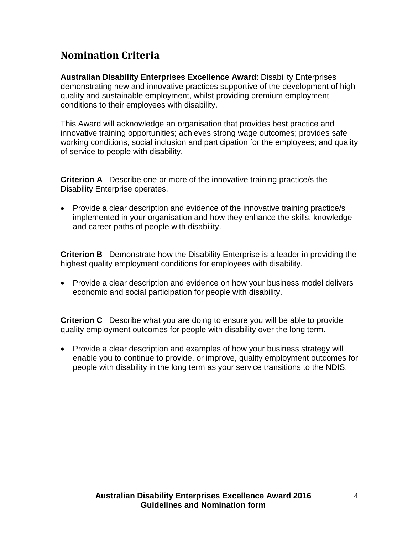# **Nomination Criteria**

**Australian Disability Enterprises Excellence Award**: Disability Enterprises demonstrating new and innovative practices supportive of the development of high quality and sustainable employment, whilst providing premium employment conditions to their employees with disability.

This Award will acknowledge an organisation that provides best practice and innovative training opportunities; achieves strong wage outcomes; provides safe working conditions, social inclusion and participation for the employees; and quality of service to people with disability.

**Criterion A** Describe one or more of the innovative training practice/s the Disability Enterprise operates.

• Provide a clear description and evidence of the innovative training practice/s implemented in your organisation and how they enhance the skills, knowledge and career paths of people with disability.

**Criterion B** Demonstrate how the Disability Enterprise is a leader in providing the highest quality employment conditions for employees with disability.

• Provide a clear description and evidence on how your business model delivers economic and social participation for people with disability.

**Criterion C** Describe what you are doing to ensure you will be able to provide quality employment outcomes for people with disability over the long term.

• Provide a clear description and examples of how your business strategy will enable you to continue to provide, or improve, quality employment outcomes for people with disability in the long term as your service transitions to the NDIS.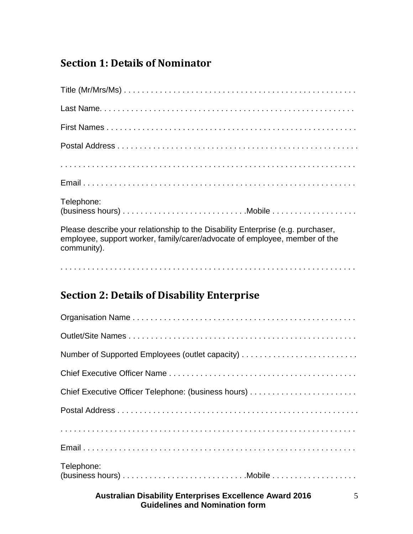# **Section 1: Details of Nominator**

| Telephone:                                                                                                                                                                   |
|------------------------------------------------------------------------------------------------------------------------------------------------------------------------------|
| Please describe your relationship to the Disability Enterprise (e.g. purchaser,<br>employee, support worker, family/carer/advocate of employee, member of the<br>community). |

. . . . . . . . . . . . . . . . . . . . . . . . . . . . . . . . . . . . . . . . . . . . . . . . . . . . . . . . . . . . . . . . . .

# **Section 2: Details of Disability Enterprise**

| Chief Executive Officer Telephone: (business hours) |
|-----------------------------------------------------|
|                                                     |
|                                                     |
|                                                     |
| Telephone:                                          |
|                                                     |

#### **Australian Disability Enterprises Excellence Award 2016 Guidelines and Nomination form**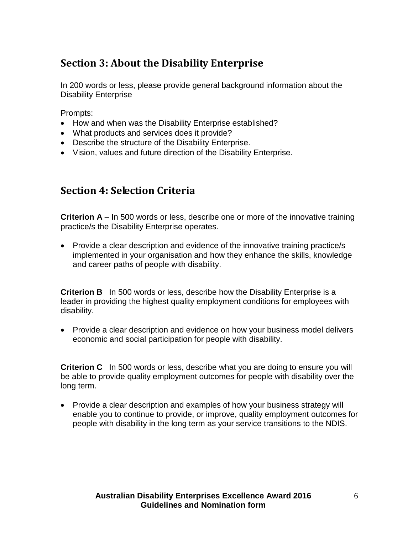# **Section 3: About the Disability Enterprise**

In 200 words or less, please provide general background information about the Disability Enterprise

Prompts:

- How and when was the Disability Enterprise established?
- What products and services does it provide?
- Describe the structure of the Disability Enterprise.
- Vision, values and future direction of the Disability Enterprise.

#### **Section 4: Selection Criteria**

**Criterion A** – In 500 words or less, describe one or more of the innovative training practice/s the Disability Enterprise operates.

• Provide a clear description and evidence of the innovative training practice/s implemented in your organisation and how they enhance the skills, knowledge and career paths of people with disability.

**Criterion B** In 500 words or less, describe how the Disability Enterprise is a leader in providing the highest quality employment conditions for employees with disability.

• Provide a clear description and evidence on how your business model delivers economic and social participation for people with disability.

**Criterion C** In 500 words or less, describe what you are doing to ensure you will be able to provide quality employment outcomes for people with disability over the long term.

• Provide a clear description and examples of how your business strategy will enable you to continue to provide, or improve, quality employment outcomes for people with disability in the long term as your service transitions to the NDIS.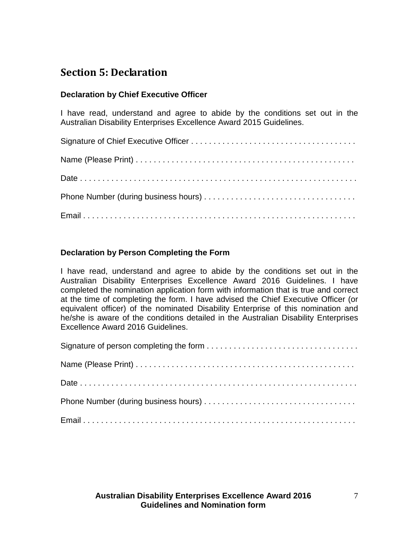### **Section 5: Declaration**

#### **Declaration by Chief Executive Officer**

I have read, understand and agree to abide by the conditions set out in the Australian Disability Enterprises Excellence Award 2015 Guidelines.

#### **Declaration by Person Completing the Form**

I have read, understand and agree to abide by the conditions set out in the Australian Disability Enterprises Excellence Award 2016 Guidelines. I have completed the nomination application form with information that is true and correct at the time of completing the form. I have advised the Chief Executive Officer (or equivalent officer) of the nominated Disability Enterprise of this nomination and he/she is aware of the conditions detailed in the Australian Disability Enterprises Excellence Award 2016 Guidelines.